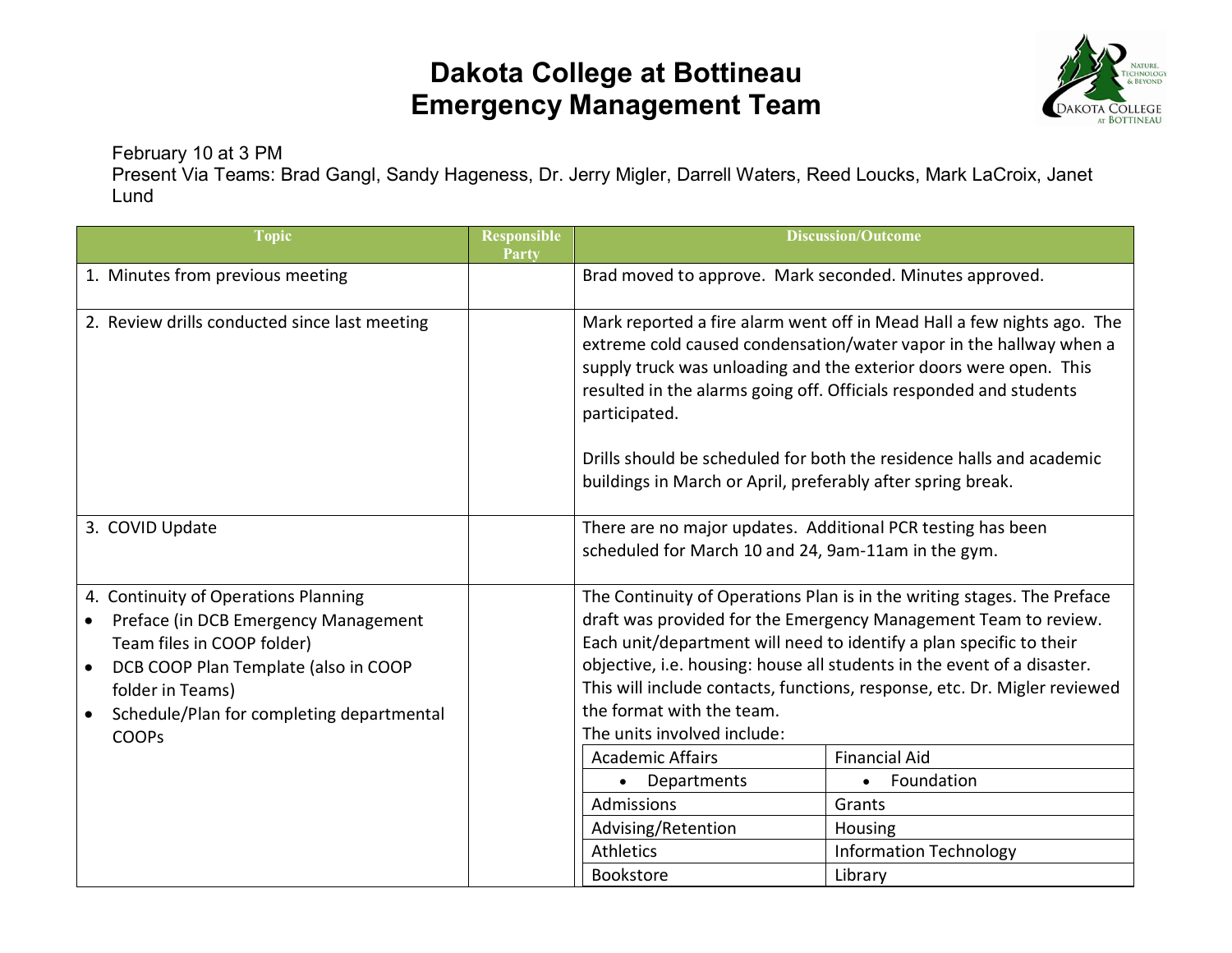## **Dakota College at Bottineau Emergency Management Team**



February 10 at 3 PM

Present Via Teams: Brad Gangl, Sandy Hageness, Dr. Jerry Migler, Darrell Waters, Reed Loucks, Mark LaCroix, Janet Lund

| <b>Topic</b>                                                                                                                                                                                                                                     | <b>Responsible</b><br>Party | <b>Discussion/Outcome</b>                                                                                                                                                                                                                                                                                                                                                                                                                       |                               |  |  |
|--------------------------------------------------------------------------------------------------------------------------------------------------------------------------------------------------------------------------------------------------|-----------------------------|-------------------------------------------------------------------------------------------------------------------------------------------------------------------------------------------------------------------------------------------------------------------------------------------------------------------------------------------------------------------------------------------------------------------------------------------------|-------------------------------|--|--|
| 1. Minutes from previous meeting                                                                                                                                                                                                                 |                             | Brad moved to approve. Mark seconded. Minutes approved.                                                                                                                                                                                                                                                                                                                                                                                         |                               |  |  |
| 2. Review drills conducted since last meeting                                                                                                                                                                                                    |                             | Mark reported a fire alarm went off in Mead Hall a few nights ago. The<br>extreme cold caused condensation/water vapor in the hallway when a<br>supply truck was unloading and the exterior doors were open. This<br>resulted in the alarms going off. Officials responded and students<br>participated.<br>Drills should be scheduled for both the residence halls and academic<br>buildings in March or April, preferably after spring break. |                               |  |  |
|                                                                                                                                                                                                                                                  |                             |                                                                                                                                                                                                                                                                                                                                                                                                                                                 |                               |  |  |
| 3. COVID Update                                                                                                                                                                                                                                  |                             | There are no major updates. Additional PCR testing has been<br>scheduled for March 10 and 24, 9am-11am in the gym.                                                                                                                                                                                                                                                                                                                              |                               |  |  |
| 4. Continuity of Operations Planning<br>Preface (in DCB Emergency Management<br>Team files in COOP folder)<br>DCB COOP Plan Template (also in COOP<br>folder in Teams)<br>Schedule/Plan for completing departmental<br>$\bullet$<br><b>COOPs</b> |                             | The Continuity of Operations Plan is in the writing stages. The Preface<br>draft was provided for the Emergency Management Team to review.<br>Each unit/department will need to identify a plan specific to their<br>objective, i.e. housing: house all students in the event of a disaster.<br>This will include contacts, functions, response, etc. Dr. Migler reviewed<br>the format with the team.<br>The units involved include:           |                               |  |  |
|                                                                                                                                                                                                                                                  |                             | <b>Academic Affairs</b>                                                                                                                                                                                                                                                                                                                                                                                                                         | <b>Financial Aid</b>          |  |  |
|                                                                                                                                                                                                                                                  |                             | • Departments                                                                                                                                                                                                                                                                                                                                                                                                                                   | • Foundation                  |  |  |
|                                                                                                                                                                                                                                                  |                             | Admissions                                                                                                                                                                                                                                                                                                                                                                                                                                      | Grants                        |  |  |
|                                                                                                                                                                                                                                                  |                             | Advising/Retention                                                                                                                                                                                                                                                                                                                                                                                                                              | Housing                       |  |  |
|                                                                                                                                                                                                                                                  |                             | <b>Athletics</b>                                                                                                                                                                                                                                                                                                                                                                                                                                | <b>Information Technology</b> |  |  |
|                                                                                                                                                                                                                                                  |                             | <b>Bookstore</b>                                                                                                                                                                                                                                                                                                                                                                                                                                | Library                       |  |  |